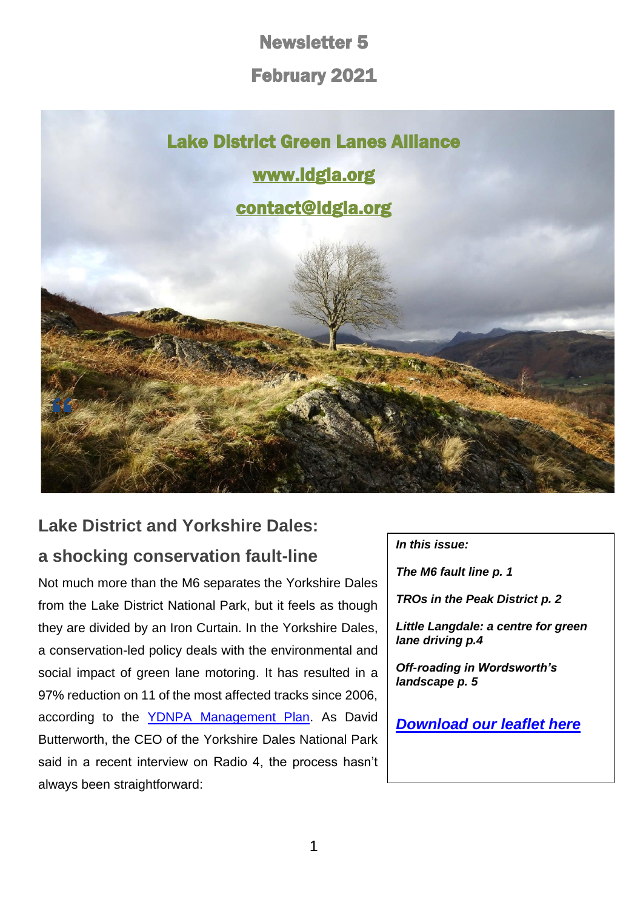Newsletter 5

February 2021



## **Lake District and Yorkshire Dales: a shocking conservation fault-line**

Not much more than the M6 separates the Yorkshire Dales from the Lake District National Park, but it feels as though they are divided by an Iron Curtain. In the Yorkshire Dales, a conservation-led policy deals with the environmental and social impact of green lane motoring. It has resulted in a 97% reduction on 11 of the most affected tracks since 2006, according to the [YDNPA Management Plan.](https://www.yorkshiredales.org.uk/about/national-park-management-plan/) As David Butterworth, the CEO of the Yorkshire Dales National Park said in a recent interview on Radio 4, the process hasn't always been straightforward:

*In this issue:*

*The M6 fault line p. 1*

*TROs in the Peak District p. 2*

*Little Langdale: a centre for green lane driving p.4*

*Off-roading in Wordsworth's landscape p. 5*

*[Download our leaflet here](https://d93992ec-49a9-490d-8cd2-4c8f6682bde7.filesusr.com/ugd/269609_4dfa44ecc9c94858b47eb7b5075a5d50.pdf)*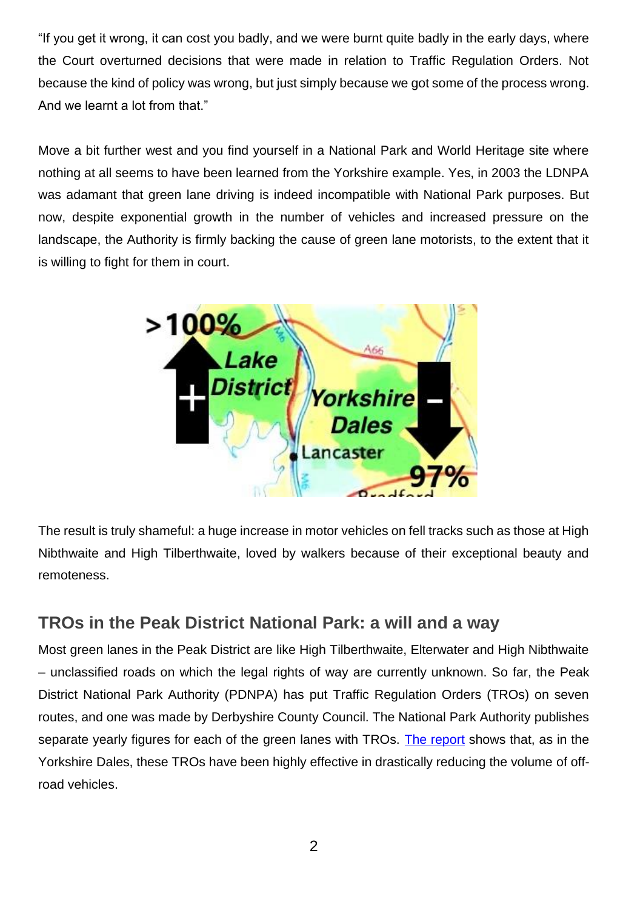"If you get it wrong, it can cost you badly, and we were burnt quite badly in the early days, where the Court overturned decisions that were made in relation to Traffic Regulation Orders. Not because the kind of policy was wrong, but just simply because we got some of the process wrong. And we learnt a lot from that."

Move a bit further west and you find yourself in a National Park and World Heritage site where nothing at all seems to have been learned from the Yorkshire example. Yes, in 2003 the LDNPA was adamant that green lane driving is indeed incompatible with National Park purposes. But now, despite exponential growth in the number of vehicles and increased pressure on the landscape, the Authority is firmly backing the cause of green lane motorists, to the extent that it is willing to fight for them in court.



The result is truly shameful: a huge increase in motor vehicles on fell tracks such as those at High Nibthwaite and High Tilberthwaite, loved by walkers because of their exceptional beauty and remoteness.

#### **TROs in the Peak District National Park: a will and a way**

Most green lanes in the Peak District are like High Tilberthwaite, Elterwater and High Nibthwaite – unclassified roads on which the legal rights of way are currently unknown. So far, the Peak District National Park Authority (PDNPA) has put Traffic Regulation Orders (TROs) on seven routes, and one was made by Derbyshire County Council. The National Park Authority publishes separate yearly figures for each of the green lanes with TROs. [The report](https://democracy.peakdistrict.gov.uk/documents/s36324/SAS%20-%20PAR%20May%202020%20-%20Green%20Lanes%20-%20App1.pdf) shows that, as in the Yorkshire Dales, these TROs have been highly effective in drastically reducing the volume of offroad vehicles.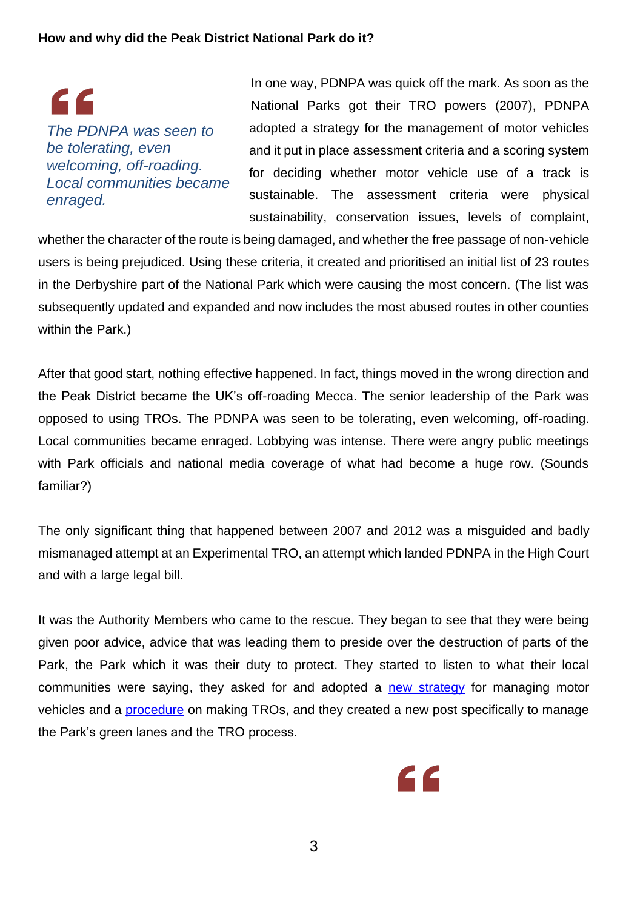C C *The PDNPA was seen to be tolerating, even welcoming, off-roading. Local communities became enraged.*

In one way, PDNPA was quick off the mark. As soon as the National Parks got their TRO powers (2007), PDNPA adopted a strategy for the management of motor vehicles and it put in place assessment criteria and a scoring system for deciding whether motor vehicle use of a track is sustainable. The assessment criteria were physical sustainability, conservation issues, levels of complaint,

whether the character of the route is being damaged, and whether the free passage of non-vehicle users is being prejudiced. Using these criteria, it created and prioritised an initial list of 23 routes in the Derbyshire part of the National Park which were causing the most concern. (The list was subsequently updated and expanded and now includes the most abused routes in other counties within the Park.)

After that good start, nothing effective happened. In fact, things moved in the wrong direction and the Peak District became the UK's off-roading Mecca. The senior leadership of the Park was opposed to using TROs. The PDNPA was seen to be tolerating, even welcoming, off-roading. Local communities became enraged. Lobbying was intense. There were angry public meetings with Park officials and national media coverage of what had become a huge row. (Sounds familiar?)

The only significant thing that happened between 2007 and 2012 was a misguided and badly mismanaged attempt at an Experimental TRO, an attempt which landed PDNPA in the High Court and with a large legal bill.

It was the Authority Members who came to the rescue. They began to see that they were being given poor advice, advice that was leading them to preside over the destruction of parts of the Park, the Park which it was their duty to protect. They started to listen to what their local communities were saying, they asked for and adopted a [new strategy](https://www.peakdistrict.gov.uk/__data/assets/pdf_file/0014/51062/vehicle-strategy-Feb-2012.pdf) for managing motor vehicles and a [procedure](https://www.peakdistrict.gov.uk/__data/assets/pdf_file/0013/51061/vehicles-procedure-Feb-2012.pdf) on making TROs, and they created a new post specifically to manage the Park's green lanes and the TRO process.

3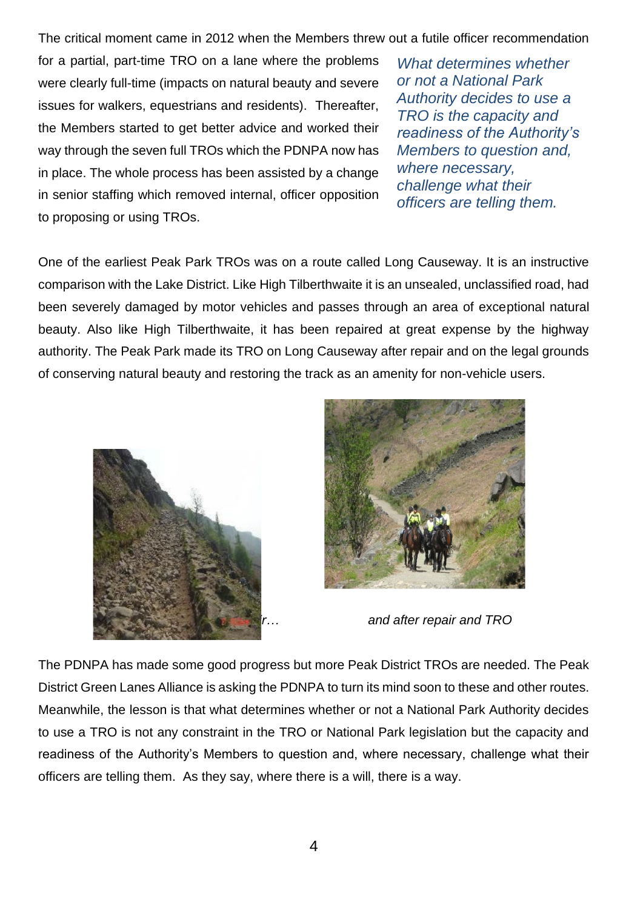The critical moment came in 2012 when the Members threw out a futile officer recommendation

for a partial, part-time TRO on a lane where the problems were clearly full-time (impacts on natural beauty and severe issues for walkers, equestrians and residents). Thereafter, the Members started to get better advice and worked their way through the seven full TROs which the PDNPA now has in place. The whole process has been assisted by a change in senior staffing which removed internal, officer opposition to proposing or using TROs.

*What determines whether or not a National Park Authority decides to use a TRO is the capacity and readiness of the Authority's Members to question and, where necessary, challenge what their officers are telling them.* 

One of the earliest Peak Park TROs was on a route called Long Causeway. It is an instructive comparison with the Lake District. Like High Tilberthwaite it is an unsealed, unclassified road, had been severely damaged by motor vehicles and passes through an area of exceptional natural beauty. Also like High Tilberthwaite, it has been repaired at great expense by the highway authority. The Peak Park made its TRO on Long Causeway after repair and on the legal grounds of conserving natural beauty and restoring the track as an amenity for non-vehicle users.





*and after repair and TRO* 

The PDNPA has made some good progress but more Peak District TROs are needed. The Peak District Green Lanes Alliance is asking the PDNPA to turn its mind soon to these and other routes. Meanwhile, the lesson is that what determines whether or not a National Park Authority decides to use a TRO is not any constraint in the TRO or National Park legislation but the capacity and readiness of the Authority's Members to question and, where necessary, challenge what their officers are telling them. As they say, where there is a will, there is a way.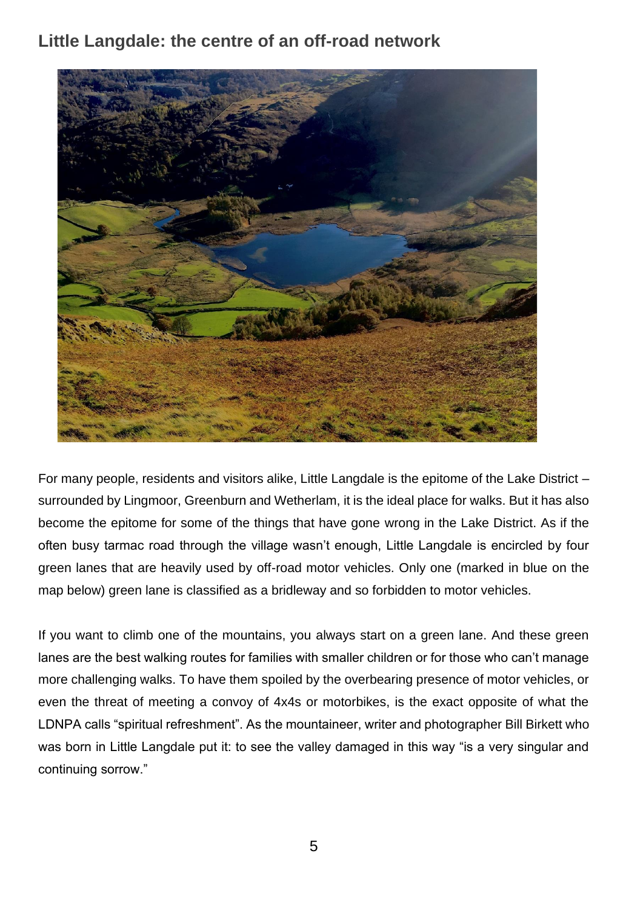#### **Little Langdale: the centre of an off-road network**



For many people, residents and visitors alike, Little Langdale is the epitome of the Lake District – surrounded by Lingmoor, Greenburn and Wetherlam, it is the ideal place for walks. But it has also become the epitome for some of the things that have gone wrong in the Lake District. As if the often busy tarmac road through the village wasn't enough, Little Langdale is encircled by four green lanes that are heavily used by off-road motor vehicles. Only one (marked in blue on the map below) green lane is classified as a bridleway and so forbidden to motor vehicles.

If you want to climb one of the mountains, you always start on a green lane. And these green lanes are the best walking routes for families with smaller children or for those who can't manage more challenging walks. To have them spoiled by the overbearing presence of motor vehicles, or even the threat of meeting a convoy of 4x4s or motorbikes, is the exact opposite of what the LDNPA calls "spiritual refreshment". As the mountaineer, writer and photographer Bill Birkett who was born in Little Langdale put it: to see the valley damaged in this way "is a very singular and continuing sorrow."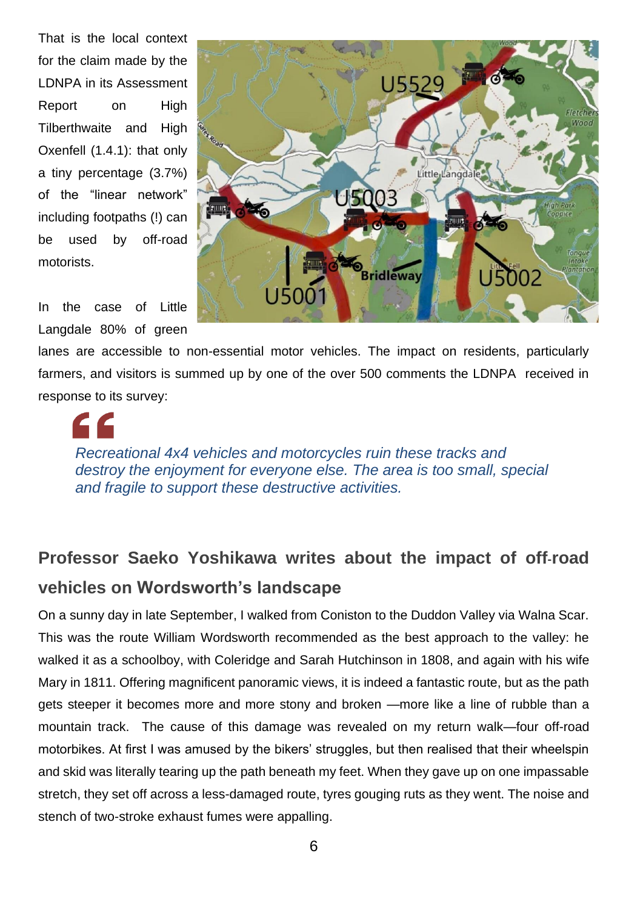That is the local context for the claim made by the LDNPA in its Assessment Report on High Tilberthwaite and High Oxenfell (1.4.1): that only a tiny percentage (3.7%) of the "linear network" including footpaths (!) can be used by off-road motorists.

In the case of Little Langdale 80% of green



lanes are accessible to non-essential motor vehicles. The impact on residents, particularly farmers, and visitors is summed up by one of the over 500 comments the LDNPA received in response to its survey:

*Recreational 4x4 vehicles and motorcycles ruin these tracks and destroy the enjoyment for everyone else. The area is too small, special and fragile to support these destructive activities.*

### **Professor Saeko Yoshikawa writes about the impact of off**-**road vehicles on Wordsworth's landscape**

On a sunny day in late September, I walked from Coniston to the Duddon Valley via Walna Scar. This was the route William Wordsworth recommended as the best approach to the valley: he walked it as a schoolboy, with Coleridge and Sarah Hutchinson in 1808, and again with his wife Mary in 1811. Offering magnificent panoramic views, it is indeed a fantastic route, but as the path gets steeper it becomes more and more stony and broken —more like a line of rubble than a mountain track. The cause of this damage was revealed on my return walk—four off-road motorbikes. At first I was amused by the bikers' struggles, but then realised that their wheelspin and skid was literally tearing up the path beneath my feet. When they gave up on one impassable stretch, they set off across a less-damaged route, tyres gouging ruts as they went. The noise and stench of two-stroke exhaust fumes were appalling.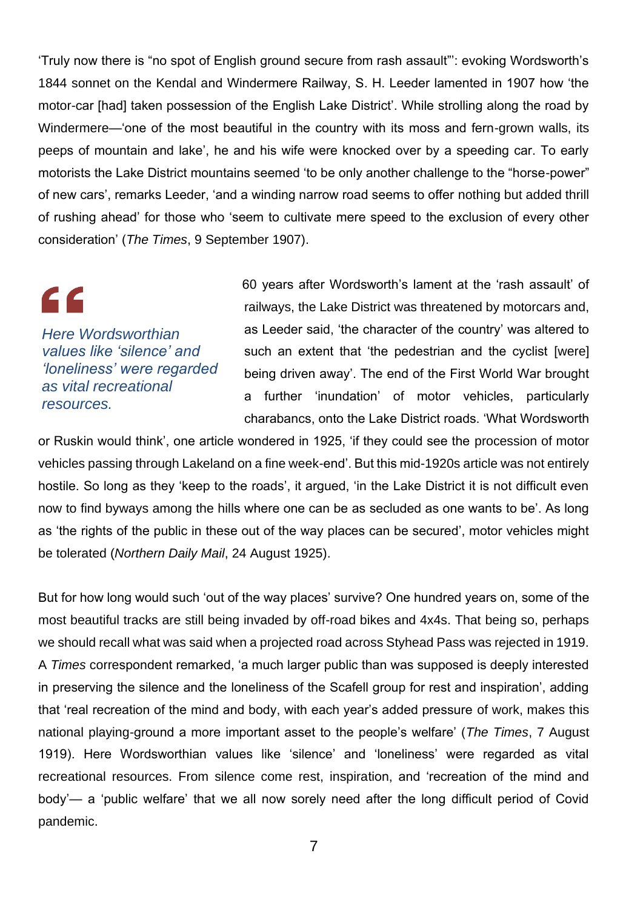'Truly now there is "no spot of English ground secure from rash assault"': evoking Wordsworth's 1844 sonnet on the Kendal and Windermere Railway, S. H. Leeder lamented in 1907 how 'the motor-car [had] taken possession of the English Lake District'. While strolling along the road by Windermere—'one of the most beautiful in the country with its moss and fern-grown walls, its peeps of mountain and lake', he and his wife were knocked over by a speeding car. To early motorists the Lake District mountains seemed 'to be only another challenge to the "horse-power" of new cars', remarks Leeder, 'and a winding narrow road seems to offer nothing but added thrill of rushing ahead' for those who 'seem to cultivate mere speed to the exclusion of every other consideration' (*The Times*, 9 September 1907).

# $\epsilon$

*Here Wordsworthian values like 'silence' and 'loneliness' were regarded as vital recreational resources.*

60 years after Wordsworth's lament at the 'rash assault' of railways, the Lake District was threatened by motorcars and, as Leeder said, 'the character of the country' was altered to such an extent that 'the pedestrian and the cyclist [were] being driven away'. The end of the First World War brought a further 'inundation' of motor vehicles, particularly charabancs, onto the Lake District roads. 'What Wordsworth

or Ruskin would think', one article wondered in 1925, 'if they could see the procession of motor vehicles passing through Lakeland on a fine week-end'. But this mid-1920s article was not entirely hostile. So long as they 'keep to the roads', it argued, 'in the Lake District it is not difficult even now to find byways among the hills where one can be as secluded as one wants to be'. As long as 'the rights of the public in these out of the way places can be secured', motor vehicles might be tolerated (*Northern Daily Mail*, 24 August 1925).

But for how long would such 'out of the way places' survive? One hundred years on, some of the most beautiful tracks are still being invaded by off-road bikes and 4x4s. That being so, perhaps we should recall what was said when a projected road across Styhead Pass was rejected in 1919. A *Times* correspondent remarked, 'a much larger public than was supposed is deeply interested in preserving the silence and the loneliness of the Scafell group for rest and inspiration', adding that 'real recreation of the mind and body, with each year's added pressure of work, makes this national playing-ground a more important asset to the people's welfare' (*The Times*, 7 August 1919). Here Wordsworthian values like 'silence' and 'loneliness' were regarded as vital recreational resources. From silence come rest, inspiration, and 'recreation of the mind and body'— a 'public welfare' that we all now sorely need after the long difficult period of Covid pandemic.